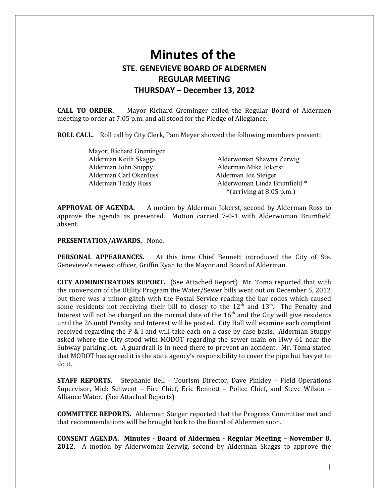# **Minutes of the STE. GENEVIEVE BOARD OF ALDERMEN REGULAR MEETING THURSDAY – December 13, 2012**

**CALL TO ORDER.** Mayor Richard Greminger called the Regular Board of Aldermen meeting to order at 7:05 p.m. and all stood for the Pledge of Allegiance.

**ROLL CALL.** Roll call by City Clerk, Pam Meyer showed the following members present:

| Mayor, Richard Greminger |                              |
|--------------------------|------------------------------|
| Alderman Keith Skaggs    | Alderwoman Shawna Zerwig     |
| Alderman John Stuppy     | Alderman Mike Jokerst        |
| Alderman Carl Okenfuss   | Alderman Joe Steiger         |
| Alderman Teddy Ross      | Alderwoman Linda Brumfield * |
|                          | *(arriving at $8:05$ p.m.)   |

**APPROVAL OF AGENDA.** A motion by Alderman Jokerst, second by Alderman Ross to approve the agenda as presented. Motion carried 7-0-1 with Alderwoman Brumfield absent.

## **PRESENTATION/AWARDS.** None.

**PERSONAL APPEARANCES.** At this time Chief Bennett introduced the City of Ste. Genevieve's newest officer, Griffin Ryan to the Mayor and Board of Alderman.

**CITY ADMINISTRATORS REPORT.** (See Attached Report) Mr. Toma reported that with the conversion of the Utility Program the Water/Sewer bills went out on December 5, 2012 but there was a minor glitch with the Postal Service reading the bar codes which caused some residents not receiving their bill to closer to the  $12<sup>th</sup>$  and  $13<sup>th</sup>$ . The Penalty and Interest will not be charged on the normal date of the  $16<sup>th</sup>$  and the City will give residents until the 26 until Penalty and Interest will be posted. City Hall will examine each complaint received regarding the P  $&$  I and will take each on a case by case basis. Alderman Stuppy asked where the City stood with MODOT regarding the sewer main on Hwy 61 near the Subway parking lot. A guardrail is in need there to prevent an accident. Mr. Toma stated that MODOT has agreed it is the state agency's responsibility to cover the pipe but has yet to do it.

**STAFF REPORTS.** Stephanie Bell – Tourism Director, Dave Pinkley – Field Operations Supervisor, Mick Schwent – Fire Chief, Eric Bennett – Police Chief, and Steve Wilson – Alliance Water. (See Attached Reports)

**COMMITTEE REPORTS.** Alderman Steiger reported that the Progress Committee met and that recommendations will be brought back to the Board of Aldermen soon.

**CONSENT AGENDA. Minutes - Board of Aldermen - Regular Meeting – November 8, 2012.** A motion by Alderwoman Zerwig, second by Alderman Skaggs to approve the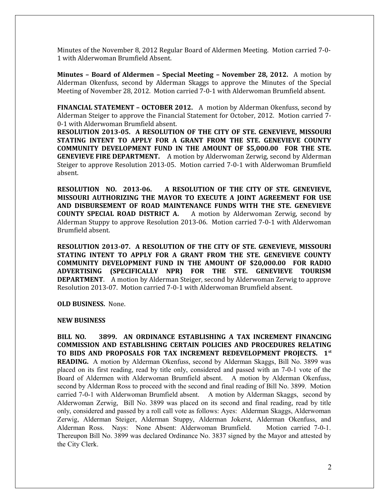Minutes of the November 8, 2012 Regular Board of Aldermen Meeting. Motion carried 7-0- 1 with Alderwoman Brumfield Absent.

**Minutes – Board of Aldermen – Special Meeting – November 28, 2012.** A motion by Alderman Okenfuss, second by Alderman Skaggs to approve the Minutes of the Special Meeting of November 28, 2012. Motion carried 7-0-1 with Alderwoman Brumfield absent.

**FINANCIAL STATEMENT – OCTOBER 2012.** A motion by Alderman Okenfuss, second by Alderman Steiger to approve the Financial Statement for October, 2012. Motion carried 7- 0-1 with Alderwoman Brumfield absent.

**RESOLUTION 2013-05. A RESOLUTION OF THE CITY OF STE. GENEVIEVE, MISSOURI STATING INTENT TO APPLY FOR A GRANT FROM THE STE. GENEVIEVE COUNTY COMMUNITY DEVELOPMENT FUND IN THE AMOUNT OF \$5,000.00 FOR THE STE. GENEVIEVE FIRE DEPARTMENT.** A motion by Alderwoman Zerwig, second by Alderman Steiger to approve Resolution 2013-05. Motion carried 7-0-1 with Alderwoman Brumfield absent.

**RESOLUTION NO. 2013-06. A RESOLUTION OF THE CITY OF STE. GENEVIEVE, MISSOURI AUTHORIZING THE MAYOR TO EXECUTE A JOINT AGREEMENT FOR USE AND DISBURSEMENT OF ROAD MAINTENANCE FUNDS WITH THE STE. GENEVIEVE COUNTY SPECIAL ROAD DISTRICT A.** A motion by Alderwoman Zerwig, second by Alderman Stuppy to approve Resolution 2013-06. Motion carried 7-0-1 with Alderwoman Brumfield absent.

**RESOLUTION 2013-07. A RESOLUTION OF THE CITY OF STE. GENEVIEVE, MISSOURI STATING INTENT TO APPLY FOR A GRANT FROM THE STE. GENEVIEVE COUNTY COMMUNITY DEVELOPMENT FUND IN THE AMOUNT OF \$20,000.00 FOR RADIO ADVERTISING (SPECIFICALLY NPR) FOR THE STE. GENEVIEVE TOURISM DEPARTMENT**. A motion by Alderman Steiger, second by Alderwoman Zerwig to approve Resolution 2013-07. Motion carried 7-0-1 with Alderwoman Brumfield absent.

**OLD BUSINESS.** None.

#### **NEW BUSINESS**

**BILL NO. 3899. AN ORDINANCE ESTABLISHING A TAX INCREMENT FINANCING COMMISSION AND ESTABLISHING CERTAIN POLICIES AND PROCEDURES RELATING TO BIDS AND PROPOSALS FOR TAX INCREMENT REDEVELOPMENT PROJECTS. 1st READING.** A motion by Alderman Okenfuss, second by Alderman Skaggs, Bill No. 3899 was placed on its first reading, read by title only, considered and passed with an 7-0-1 vote of the Board of Aldermen with Alderwoman Brumfield absent. A motion by Alderman Okenfuss, second by Alderman Ross to proceed with the second and final reading of Bill No. 3899. Motion carried 7-0-1 with Alderwoman Brumfield absent. A motion by Alderman Skaggs, second by Alderwoman Zerwig, Bill No. 3899 was placed on its second and final reading, read by title only, considered and passed by a roll call vote as follows: Ayes: Alderman Skaggs, Alderwoman Zerwig, Alderman Steiger, Alderman Stuppy, Alderman Jokerst, Alderman Okenfuss, and Alderman Ross. Nays: None Absent: Alderwoman Brumfield. Motion carried 7-0-1. Thereupon Bill No. 3899 was declared Ordinance No. 3837 signed by the Mayor and attested by the City Clerk.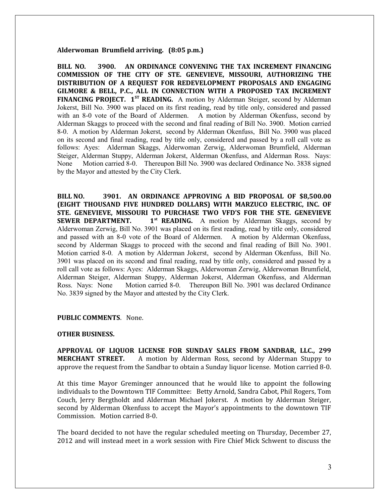### **Alderwoman Brumfield arriving. (8:05 p.m.)**

**BILL NO. 3900. AN ORDINANCE CONVENING THE TAX INCREMENT FINANCING COMMISSION OF THE CITY OF STE. GENEVIEVE, MISSOURI, AUTHORIZING THE DISTRIBUTION OF A REQUEST FOR REDEVELOPMENT PROPOSALS AND ENGAGING GILMORE & BELL, P.C., ALL IN CONNECTION WITH A PROPOSED TAX INCREMENT FINANCING PROJECT. 1ST READING.** A motion by Alderman Steiger, second by Alderman Jokerst, Bill No. 3900 was placed on its first reading, read by title only, considered and passed with an 8-0 vote of the Board of Aldermen. A motion by Alderman Okenfuss, second by Alderman Skaggs to proceed with the second and final reading of Bill No. 3900. Motion carried 8-0. A motion by Alderman Jokerst, second by Alderman Okenfuss, Bill No. 3900 was placed on its second and final reading, read by title only, considered and passed by a roll call vote as follows: Ayes: Alderman Skaggs, Alderwoman Zerwig, Alderwoman Brumfield, Alderman Steiger, Alderman Stuppy, Alderman Jokerst, Alderman Okenfuss, and Alderman Ross. Nays: None Motion carried 8-0. Thereupon Bill No. 3900 was declared Ordinance No. 3838 signed by the Mayor and attested by the City Clerk.

**BILL NO. 3901. AN ORDINANCE APPROVING A BID PROPOSAL OF \$8,500.00 (EIGHT THOUSAND FIVE HUNDRED DOLLARS) WITH MARZUCO ELECTRIC, INC. OF STE. GENEVIEVE, MISSOURI TO PURCHASE TWO VFD'S FOR THE STE. GENEVIEVE SEWER DEPARTMENT.** 1<sup>st</sup> **READING.** A motion by Alderman Skaggs, second by Alderwoman Zerwig, Bill No. 3901 was placed on its first reading, read by title only, considered and passed with an 8-0 vote of the Board of Aldermen. A motion by Alderman Okenfuss, second by Alderman Skaggs to proceed with the second and final reading of Bill No. 3901. Motion carried 8-0. A motion by Alderman Jokerst, second by Alderman Okenfuss, Bill No. 3901 was placed on its second and final reading, read by title only, considered and passed by a roll call vote as follows: Ayes: Alderman Skaggs, Alderwoman Zerwig, Alderwoman Brumfield, Alderman Steiger, Alderman Stuppy, Alderman Jokerst, Alderman Okenfuss, and Alderman Ross. Nays: None Motion carried 8-0. Thereupon Bill No. 3901 was declared Ordinance No. 3839 signed by the Mayor and attested by the City Clerk.

## **PUBLIC COMMENTS**. None.

#### **OTHER BUSINESS.**

**APPROVAL OF LIQUOR LICENSE FOR SUNDAY SALES FROM SANDBAR, LLC., 299 MERCHANT STREET.** A motion by Alderman Ross, second by Alderman Stuppy to approve the request from the Sandbar to obtain a Sunday liquor license. Motion carried 8-0.

At this time Mayor Greminger announced that he would like to appoint the following individuals to the Downtown TIF Committee: Betty Arnold, Sandra Cabot, Phil Rogers, Tom Couch, Jerry Bergtholdt and Alderman Michael Jokerst. A motion by Alderman Steiger, second by Alderman Okenfuss to accept the Mayor's appointments to the downtown TIF Commission. Motion carried 8-0.

The board decided to not have the regular scheduled meeting on Thursday, December 27, 2012 and will instead meet in a work session with Fire Chief Mick Schwent to discuss the